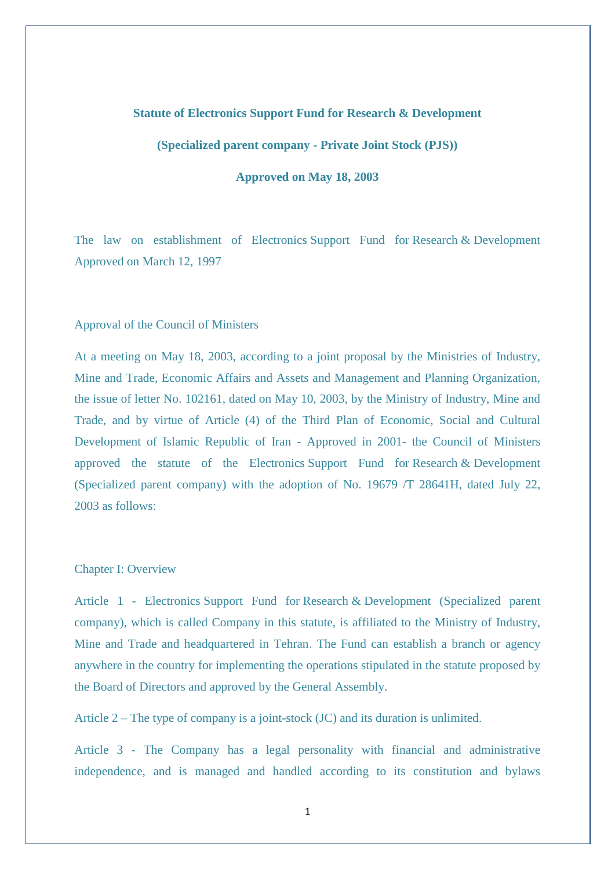## **Statute of Electronics Support Fund for Research & Development**

**(Specialized parent company - Private Joint Stock (PJS))**

**Approved on May 18, 2003**

The law on establishment of Electronics Support Fund for Research & Development Approved on March 12, 1997

## Approval of the Council of Ministers

At a meeting on May 18, 2003, according to a joint proposal by the Ministries of Industry, Mine and Trade, Economic Affairs and Assets and Management and Planning Organization, the issue of letter No. 102161, dated on May 10, 2003, by the Ministry of Industry, Mine and Trade, and by virtue of Article (4) of the Third Plan of Economic, Social and Cultural Development of Islamic Republic of Iran - Approved in 2001- the Council of Ministers approved the statute of the Electronics Support Fund for Research & Development (Specialized parent company) with the adoption of No. 19679 /T 28641H, dated July 22, 2003 as follows:

## Chapter I: Overview

Article 1 - Electronics Support Fund for Research & Development (Specialized parent company), which is called Company in this statute, is affiliated to the Ministry of Industry, Mine and Trade and headquartered in Tehran. The Fund can establish a branch or agency anywhere in the country for implementing the operations stipulated in the statute proposed by the Board of Directors and approved by the General Assembly.

Article  $2 -$  The type of company is a joint-stock (JC) and its duration is unlimited.

Article 3 - The Company has a legal personality with financial and administrative independence, and is managed and handled according to its constitution and bylaws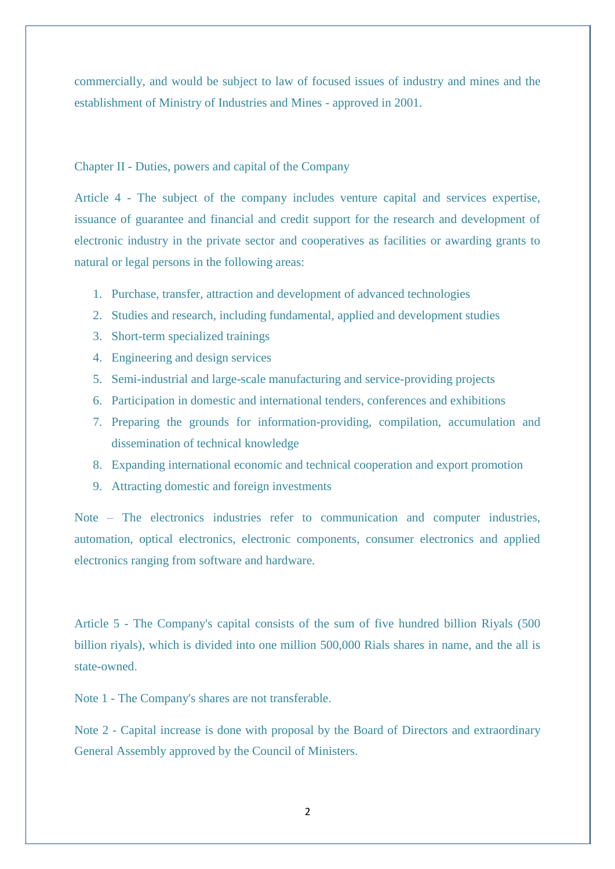commercially, and would be subject to law of focused issues of industry and mines and the establishment of Ministry of Industries and Mines - approved in 2001.

## Chapter II - Duties, powers and capital of the Company

Article 4 - The subject of the company includes venture capital and services expertise, issuance of guarantee and financial and credit support for the research and development of electronic industry in the private sector and cooperatives as facilities or awarding grants to natural or legal persons in the following areas:

- 1. Purchase, transfer, attraction and development of advanced technologies
- 2. Studies and research, including fundamental, applied and development studies
- 3. Short-term specialized trainings
- 4. Engineering and design services
- 5. Semi-industrial and large-scale manufacturing and service-providing projects
- 6. Participation in domestic and international tenders, conferences and exhibitions
- 7. Preparing the grounds for information-providing, compilation, accumulation and dissemination of technical knowledge
- 8. Expanding international economic and technical cooperation and export promotion
- 9. Attracting domestic and foreign investments

Note – The electronics industries refer to communication and computer industries, automation, optical electronics, electronic components, consumer electronics and applied electronics ranging from software and hardware.

Article 5 - The Company's capital consists of the sum of five hundred billion Riyals (500 billion riyals), which is divided into one million 500,000 Rials shares in name, and the all is state-owned.

Note 1 - The Company's shares are not transferable.

Note 2 - Capital increase is done with proposal by the Board of Directors and extraordinary General Assembly approved by the Council of Ministers.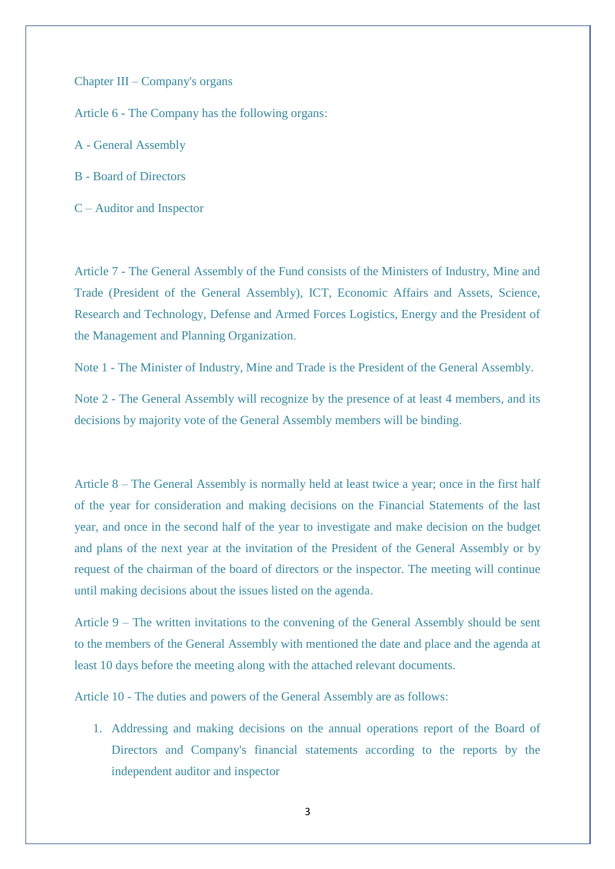Chapter III – Company's organs

Article 6 - The Company has the following organs:

- A General Assembly
- B Board of Directors
- C Auditor and Inspector

Article 7 - The General Assembly of the Fund consists of the Ministers of Industry, Mine and Trade (President of the General Assembly), ICT, Economic Affairs and Assets, Science, Research and Technology, Defense and Armed Forces Logistics, Energy and the President of the Management and Planning Organization.

Note 1 - The Minister of Industry, Mine and Trade is the President of the General Assembly.

Note 2 - The General Assembly will recognize by the presence of at least 4 members, and its decisions by majority vote of the General Assembly members will be binding.

Article 8 – The General Assembly is normally held at least twice a year; once in the first half of the year for consideration and making decisions on the Financial Statements of the last year, and once in the second half of the year to investigate and make decision on the budget and plans of the next year at the invitation of the President of the General Assembly or by request of the chairman of the board of directors or the inspector. The meeting will continue until making decisions about the issues listed on the agenda.

Article 9 – The written invitations to the convening of the General Assembly should be sent to the members of the General Assembly with mentioned the date and place and the agenda at least 10 days before the meeting along with the attached relevant documents.

Article 10 - The duties and powers of the General Assembly are as follows:

1. Addressing and making decisions on the annual operations report of the Board of Directors and Company's financial statements according to the reports by the independent auditor and inspector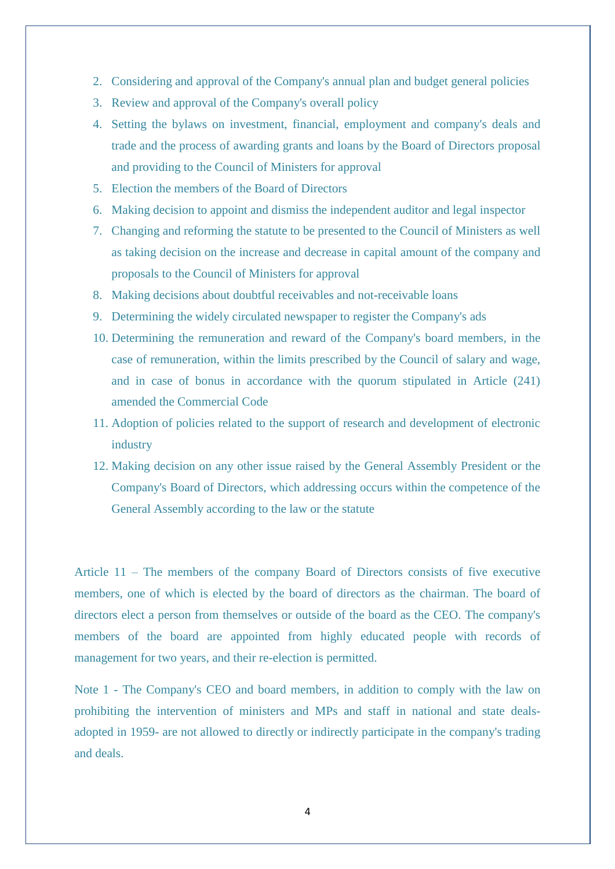- 2. Considering and approval of the Company's annual plan and budget general policies
- 3. Review and approval of the Company's overall policy
- 4. Setting the bylaws on investment, financial, employment and company's deals and trade and the process of awarding grants and loans by the Board of Directors proposal and providing to the Council of Ministers for approval
- 5. Election the members of the Board of Directors
- 6. Making decision to appoint and dismiss the independent auditor and legal inspector
- 7. Changing and reforming the statute to be presented to the Council of Ministers as well as taking decision on the increase and decrease in capital amount of the company and proposals to the Council of Ministers for approval
- 8. Making decisions about doubtful receivables and not-receivable loans
- 9. Determining the widely circulated newspaper to register the Company's ads
- 10. Determining the remuneration and reward of the Company's board members, in the case of remuneration, within the limits prescribed by the Council of salary and wage, and in case of bonus in accordance with the quorum stipulated in Article (241) amended the Commercial Code
- 11. Adoption of policies related to the support of research and development of electronic industry
- 12. Making decision on any other issue raised by the General Assembly President or the Company's Board of Directors, which addressing occurs within the competence of the General Assembly according to the law or the statute

Article 11 – The members of the company Board of Directors consists of five executive members, one of which is elected by the board of directors as the chairman. The board of directors elect a person from themselves or outside of the board as the CEO. The company's members of the board are appointed from highly educated people with records of management for two years, and their re-election is permitted.

Note 1 - The Company's CEO and board members, in addition to comply with the law on prohibiting the intervention of ministers and MPs and staff in national and state dealsadopted in 1959- are not allowed to directly or indirectly participate in the company's trading and deals.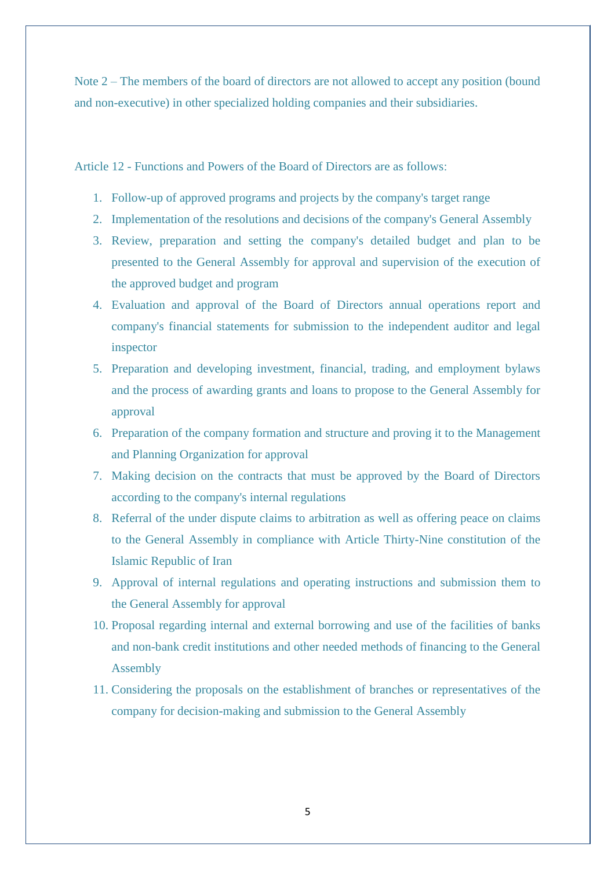Note 2 – The members of the board of directors are not allowed to accept any position (bound and non-executive) in other specialized holding companies and their subsidiaries.

Article 12 - Functions and Powers of the Board of Directors are as follows:

- 1. Follow-up of approved programs and projects by the company's target range
- 2. Implementation of the resolutions and decisions of the company's General Assembly
- 3. Review, preparation and setting the company's detailed budget and plan to be presented to the General Assembly for approval and supervision of the execution of the approved budget and program
- 4. Evaluation and approval of the Board of Directors annual operations report and company's financial statements for submission to the independent auditor and legal inspector
- 5. Preparation and developing investment, financial, trading, and employment bylaws and the process of awarding grants and loans to propose to the General Assembly for approval
- 6. Preparation of the company formation and structure and proving it to the Management and Planning Organization for approval
- 7. Making decision on the contracts that must be approved by the Board of Directors according to the company's internal regulations
- 8. Referral of the under dispute claims to arbitration as well as offering peace on claims to the General Assembly in compliance with Article Thirty-Nine constitution of the Islamic Republic of Iran
- 9. Approval of internal regulations and operating instructions and submission them to the General Assembly for approval
- 10. Proposal regarding internal and external borrowing and use of the facilities of banks and non-bank credit institutions and other needed methods of financing to the General Assembly
- 11. Considering the proposals on the establishment of branches or representatives of the company for decision-making and submission to the General Assembly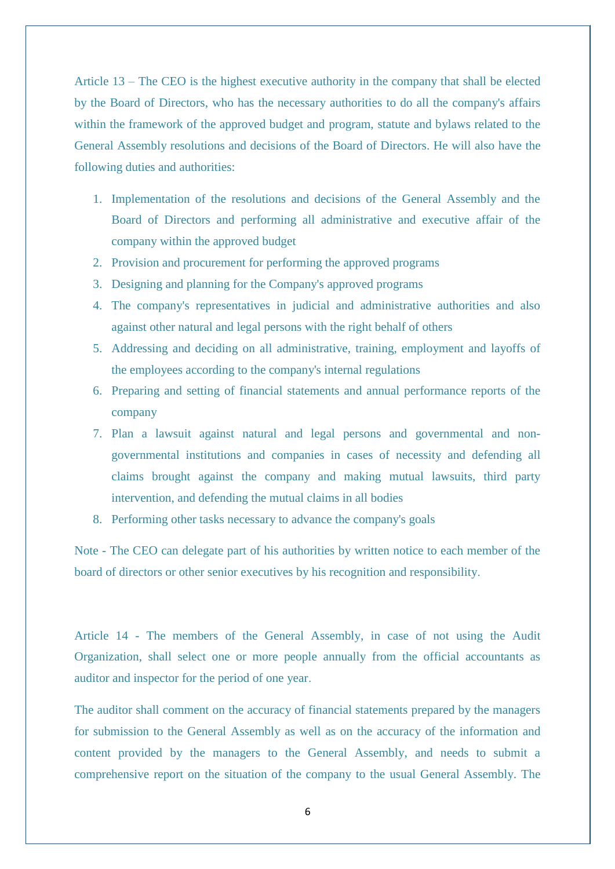Article 13 – The CEO is the highest executive authority in the company that shall be elected by the Board of Directors, who has the necessary authorities to do all the company's affairs within the framework of the approved budget and program, statute and bylaws related to the General Assembly resolutions and decisions of the Board of Directors. He will also have the following duties and authorities:

- 1. Implementation of the resolutions and decisions of the General Assembly and the Board of Directors and performing all administrative and executive affair of the company within the approved budget
- 2. Provision and procurement for performing the approved programs
- 3. Designing and planning for the Company's approved programs
- 4. The company's representatives in judicial and administrative authorities and also against other natural and legal persons with the right behalf of others
- 5. Addressing and deciding on all administrative, training, employment and layoffs of the employees according to the company's internal regulations
- 6. Preparing and setting of financial statements and annual performance reports of the company
- 7. Plan a lawsuit against natural and legal persons and governmental and nongovernmental institutions and companies in cases of necessity and defending all claims brought against the company and making mutual lawsuits, third party intervention, and defending the mutual claims in all bodies
- 8. Performing other tasks necessary to advance the company's goals

Note - The CEO can delegate part of his authorities by written notice to each member of the board of directors or other senior executives by his recognition and responsibility.

Article 14 - The members of the General Assembly, in case of not using the Audit Organization, shall select one or more people annually from the official accountants as auditor and inspector for the period of one year.

The auditor shall comment on the accuracy of financial statements prepared by the managers for submission to the General Assembly as well as on the accuracy of the information and content provided by the managers to the General Assembly, and needs to submit a comprehensive report on the situation of the company to the usual General Assembly. The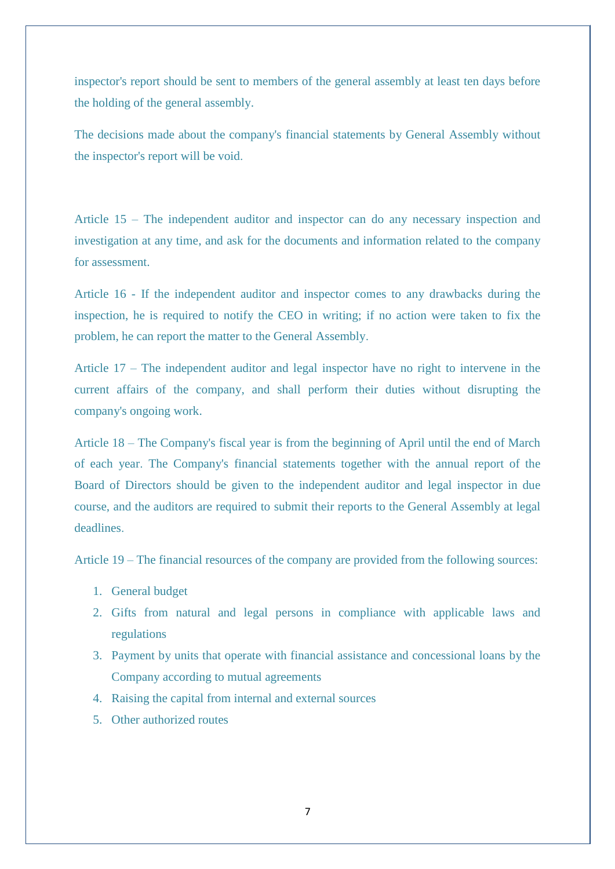inspector's report should be sent to members of the general assembly at least ten days before the holding of the general assembly.

The decisions made about the company's financial statements by General Assembly without the inspector's report will be void.

Article 15 – The independent auditor and inspector can do any necessary inspection and investigation at any time, and ask for the documents and information related to the company for assessment.

Article 16 - If the independent auditor and inspector comes to any drawbacks during the inspection, he is required to notify the CEO in writing; if no action were taken to fix the problem, he can report the matter to the General Assembly.

Article 17 – The independent auditor and legal inspector have no right to intervene in the current affairs of the company, and shall perform their duties without disrupting the company's ongoing work.

Article 18 – The Company's fiscal year is from the beginning of April until the end of March of each year. The Company's financial statements together with the annual report of the Board of Directors should be given to the independent auditor and legal inspector in due course, and the auditors are required to submit their reports to the General Assembly at legal deadlines.

Article 19 – The financial resources of the company are provided from the following sources:

- 1. General budget
- 2. Gifts from natural and legal persons in compliance with applicable laws and regulations
- 3. Payment by units that operate with financial assistance and concessional loans by the Company according to mutual agreements
- 4. Raising the capital from internal and external sources
- 5. Other authorized routes